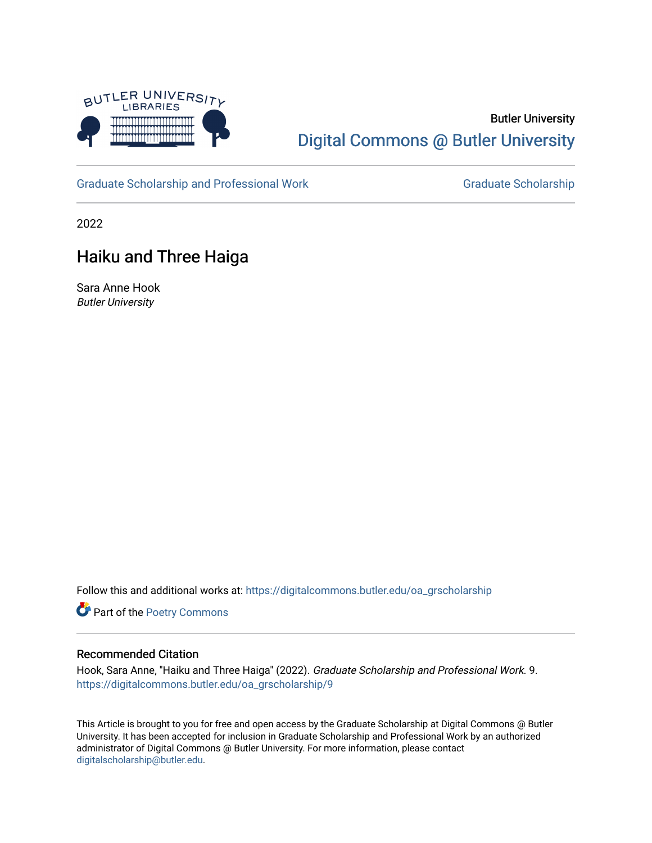

## Butler University [Digital Commons @ Butler University](https://digitalcommons.butler.edu/)

[Graduate Scholarship and Professional Work](https://digitalcommons.butler.edu/oa_grscholarship) [Graduate Scholarship](https://digitalcommons.butler.edu/grscholarship) Graduate Scholarship

2022

## Haiku and Three Haiga

Sara Anne Hook Butler University

Follow this and additional works at: [https://digitalcommons.butler.edu/oa\\_grscholarship](https://digitalcommons.butler.edu/oa_grscholarship?utm_source=digitalcommons.butler.edu%2Foa_grscholarship%2F9&utm_medium=PDF&utm_campaign=PDFCoverPages)

Part of the [Poetry Commons](http://network.bepress.com/hgg/discipline/1153?utm_source=digitalcommons.butler.edu%2Foa_grscholarship%2F9&utm_medium=PDF&utm_campaign=PDFCoverPages) 

## Recommended Citation

Hook, Sara Anne, "Haiku and Three Haiga" (2022). Graduate Scholarship and Professional Work. 9. [https://digitalcommons.butler.edu/oa\\_grscholarship/9](https://digitalcommons.butler.edu/oa_grscholarship/9?utm_source=digitalcommons.butler.edu%2Foa_grscholarship%2F9&utm_medium=PDF&utm_campaign=PDFCoverPages)

This Article is brought to you for free and open access by the Graduate Scholarship at Digital Commons @ Butler University. It has been accepted for inclusion in Graduate Scholarship and Professional Work by an authorized administrator of Digital Commons @ Butler University. For more information, please contact [digitalscholarship@butler.edu.](mailto:digitalscholarship@butler.edu)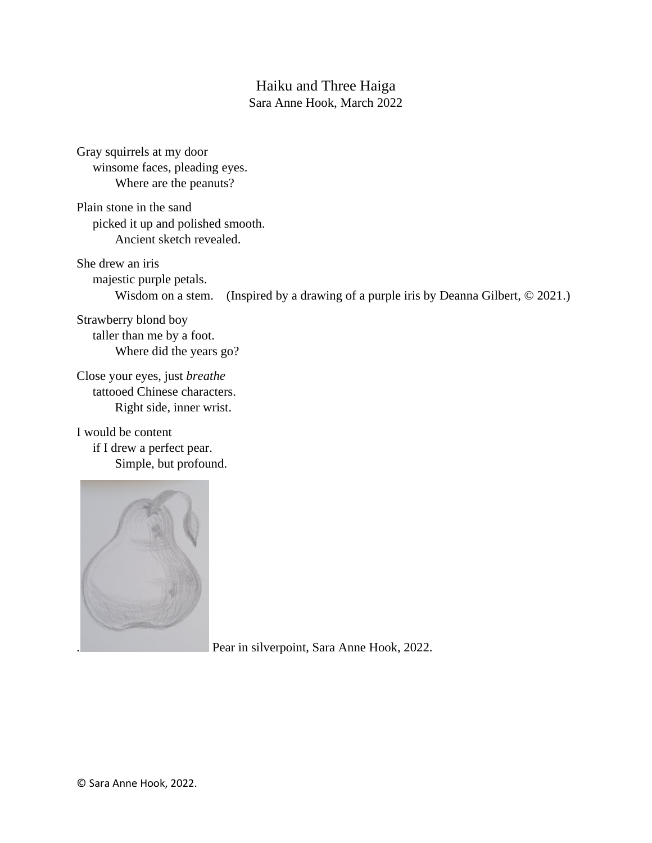## Haiku and Three Haiga

Sara Anne Hook, March 2022

Gray squirrels at my door winsome faces, pleading eyes. Where are the peanuts?

Plain stone in the sand picked it up and polished smooth. Ancient sketch revealed.

She drew an iris majestic purple petals. Wisdom on a stem. (Inspired by a drawing of a purple iris by Deanna Gilbert,  $\odot$  2021.)

Strawberry blond boy taller than me by a foot. Where did the years go?

Close your eyes, just *breathe* tattooed Chinese characters. Right side, inner wrist.

I would be content if I drew a perfect pear. Simple, but profound.



Pear in silverpoint, Sara Anne Hook, 2022.